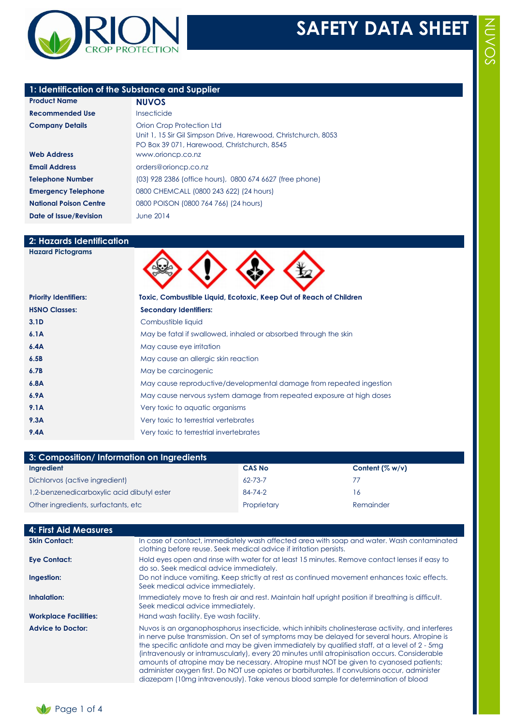

## **1: Identification of the Substance and Supplier**

| <b>Product Name</b>           | <b>NUVOS</b>                                                                                                                               |
|-------------------------------|--------------------------------------------------------------------------------------------------------------------------------------------|
| <b>Recommended Use</b>        | Insecticide                                                                                                                                |
| <b>Company Details</b>        | Orion Crop Protection Ltd<br>Unit 1, 15 Sir Gil Simpson Drive, Harewood, Christchurch, 8053<br>PO Box 39 071, Harewood, Christchurch, 8545 |
| <b>Web Address</b>            | www.orioncp.co.nz                                                                                                                          |
| <b>Email Address</b>          | orders@orioncp.co.nz                                                                                                                       |
| <b>Telephone Number</b>       | (03) 928 2386 (office hours), 0800 674 6627 (free phone)                                                                                   |
| <b>Emergency Telephone</b>    | 0800 CHEMCALL (0800 243 622) (24 hours)                                                                                                    |
| <b>National Poison Centre</b> | 0800 POISON (0800 764 766) (24 hours)                                                                                                      |
| Date of Issue/Revision        | <b>June 2014</b>                                                                                                                           |

# **2: Hazards Identification**

| <b>Hazard Pictograms</b>     |                                                                      |
|------------------------------|----------------------------------------------------------------------|
| <b>Priority Identifiers:</b> | Toxic, Combustible Liquid, Ecotoxic, Keep Out of Reach of Children   |
| <b>HSNO Classes:</b>         | <b>Secondary Identifiers:</b>                                        |
| 3.1 <sub>D</sub>             | Combustible liquid                                                   |
| 6.1A                         | May be fatal if swallowed, inhaled or absorbed through the skin      |
| 6.4A                         | May cause eye irritation                                             |
| 6.5B                         | May cause an allergic skin reaction                                  |
| 6.7B                         | May be carcinogenic                                                  |
| 6.8A                         | May cause reproductive/developmental damage from repeated ingestion  |
| 6.9A                         | May cause nervous system damage from repeated exposure at high doses |
| 9.1A                         | Very toxic to aquatic organisms                                      |
| 9.3A                         | Very toxic to terrestrial vertebrates                                |
| 9.4A                         | Very toxic to terrestrial invertebrates                              |

| 3: Composition/Information on Ingredients  |               |                    |
|--------------------------------------------|---------------|--------------------|
| Ingredient                                 | <b>CAS No</b> | Content $(\% w/v)$ |
| Dichlorvos (active ingredient)             | $62 - 73 - 7$ | 77                 |
| 1,2-benzenedicarboxylic acid dibutyl ester | 84-74-2       | 16                 |
| Other ingredients, surfactants, etc        | Proprietary   | Remainder          |

| <b>4: First Aid Measures</b> |                                                                                                                                                                                                                                                                                                                                                                                                                                                                                                                                                                                                                                                                                      |
|------------------------------|--------------------------------------------------------------------------------------------------------------------------------------------------------------------------------------------------------------------------------------------------------------------------------------------------------------------------------------------------------------------------------------------------------------------------------------------------------------------------------------------------------------------------------------------------------------------------------------------------------------------------------------------------------------------------------------|
| <b>Skin Contact:</b>         | In case of contact, immediately wash affected area with soap and water. Wash contaminated<br>clothing before reuse. Seek medical advice if irritation persists.                                                                                                                                                                                                                                                                                                                                                                                                                                                                                                                      |
| <b>Eye Contact:</b>          | Hold eyes open and rinse with water for at least 15 minutes. Remove contact lenses if easy to<br>do so. Seek medical advice immediately.                                                                                                                                                                                                                                                                                                                                                                                                                                                                                                                                             |
| Ingestion:                   | Do not induce vomiting. Keep strictly at rest as continued movement enhances toxic effects.<br>Seek medical advice immediately.                                                                                                                                                                                                                                                                                                                                                                                                                                                                                                                                                      |
| Inhalation:                  | Immediately move to fresh air and rest. Maintain half upright position if breathing is difficult.<br>Seek medical advice immediately.                                                                                                                                                                                                                                                                                                                                                                                                                                                                                                                                                |
| <b>Workplace Facilities:</b> | Hand wash facility. Eye wash facility.                                                                                                                                                                                                                                                                                                                                                                                                                                                                                                                                                                                                                                               |
| <b>Advice to Doctor:</b>     | Nuvos is an organophosphorus insecticide, which inhibits cholinesterase activity, and interferes<br>in nerve pulse transmission. On set of symptoms may be delayed for several hours. Atropine is<br>the specific antidote and may be given immediately by qualified staff, at a level of 2 - 5mg<br>(intravenously or intramuscularly), every 20 minutes until atropinisation occurs. Considerable<br>amounts of atropine may be necessary. Atropine must NOT be given to cyanosed patients;<br>administer oxygen first. Do NOT use opiates or barbiturates. If convulsions occur, administer<br>diazepam (10mg intravenously). Take venous blood sample for determination of blood |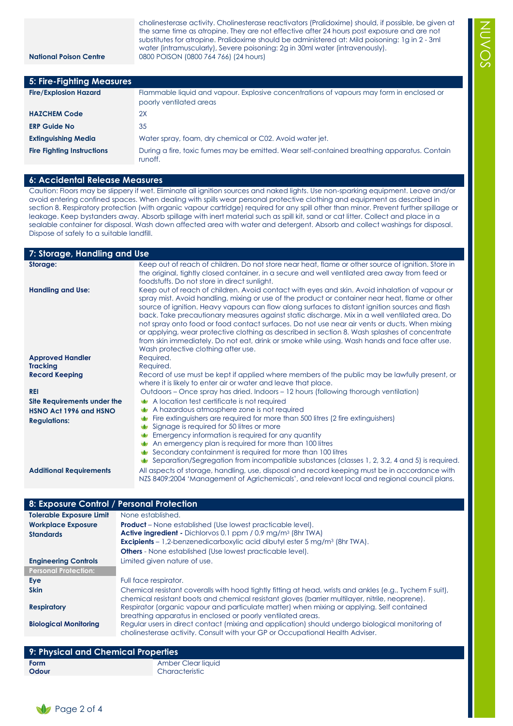cholinesterase activity. Cholinesterase reactivators (Pralidoxime) should, if possible, be given at the same time as atropine. They are not effective after 24 hours post exposure and are not substitutes for atropine. Pralidoxime should be administered at: Mild poisoning: 1g in 2 - 3ml water (intramuscularly), Severe poisoning: 2g in 30ml water (intravenously). **National Poison Centre** 0800 POISON (0800 764 766) (24 hours)

NUVOS

| 5: Fire-Fighting Measures         |                                                                                                                     |
|-----------------------------------|---------------------------------------------------------------------------------------------------------------------|
| <b>Fire/Explosion Hazard</b>      | Flammable liquid and vapour. Explosive concentrations of vapours may form in enclosed or<br>poorly ventilated areas |
| <b>HAZCHEM Code</b>               | 2X                                                                                                                  |
| <b>ERP Guide No</b>               | 35                                                                                                                  |
| <b>Extinguishing Media</b>        | Water spray, foam, dry chemical or C02. Avoid water jet.                                                            |
| <b>Fire Fighting Instructions</b> | During a fire, toxic fumes may be emitted. Wear self-contained breathing apparatus. Contain<br>runoff.              |

#### **6: Accidental Release Measures**

Caution: Floors may be slippery if wet. Eliminate all ignition sources and naked lights. Use non-sparking equipment. Leave and/or avoid entering confined spaces. When dealing with spills wear personal protective clothing and equipment as described in section 8. Respiratory protection (with organic vapour cartridge) required for any spill other than minor. Prevent further spillage or leakage. Keep bystanders away. Absorb spillage with inert material such as spill kit, sand or cat litter. Collect and place in a sealable container for disposal. Wash down affected area with water and detergent. Absorb and collect washings for disposal. Dispose of safely to a suitable landfill.

**7: Storage, Handling and Use Storage:** Keep out of reach of children. Do not store near heat, flame or other source of ignition. Store in the original, tightly closed container, in a secure and well ventilated area away from feed or foodstuffs. Do not store in direct sunlight. **Handling and Use:** Keep out of reach of children. Avoid contact with eyes and skin. Avoid inhalation of vapour or spray mist. Avoid handling, mixing or use of the product or container near heat, flame or other source of ignition. Heavy vapours can flow along surfaces to distant ignition sources and flash back. Take precautionary measures against static discharge. Mix in a well ventilated area. Do not spray onto food or food contact surfaces. Do not use near air vents or ducts. When mixing or applying, wear protective clothing as described in section 8. Wash splashes of concentrate from skin immediately. Do not eat, drink or smoke while using. Wash hands and face after use. Wash protective clothing after use. **Approved Handler** Required. **Tracking** Required. **Record Keeping** Record of use must be kept if applied where members of the public may be lawfully present, or where it is likely to enter air or water and leave that place. **REI REI** Outdoors – Once spray has dried. Indoors – 12 hours (following thorough ventilation) **Site Requirements under the HSNO Act 1996 and HSNO Regulations:** A location test certificate is not required A hazardous atmosphere zone is not required Fire extinguishers are required for more than 500 litres (2 fire extinguishers) Signage is required for 50 litres or more **Emergency information is required for any quantity** An emergency plan is required for more than 100 litres Secondary containment is required for more than 100 litres Separation/Segregation from incompatible substances (classes 1, 2, 3.2, 4 and 5) is required. **Additional Requirements** All aspects of storage, handling, use, disposal and record keeping must be in accordance with

| 8: Exposure Control / Personal Protection |                                                                                                                                                                                                             |
|-------------------------------------------|-------------------------------------------------------------------------------------------------------------------------------------------------------------------------------------------------------------|
| <b>Tolerable Exposure Limit</b>           | None established.                                                                                                                                                                                           |
| <b>Workplace Exposure</b>                 | <b>Product</b> – None established (Use lowest practicable level).                                                                                                                                           |
| <b>Standards</b>                          | Active ingredient - Dichlorvos 0.1 ppm / 0.9 mg/m <sup>3</sup> (8hr TWA)                                                                                                                                    |
|                                           | Excipients - 1,2-benzenedicarboxylic acid dibutyl ester 5 mg/m <sup>3</sup> (8hr TWA).                                                                                                                      |
|                                           | <b>Others</b> - None established (Use lowest practicable level).                                                                                                                                            |
| <b>Engineering Controls</b>               | Limited given nature of use.                                                                                                                                                                                |
| <b>Personal Protection:</b>               |                                                                                                                                                                                                             |
| Eye                                       | Full face respirator.                                                                                                                                                                                       |
| <b>Skin</b>                               | Chemical resistant coveralls with hood tightly fitting at head, wrists and ankles (e.g., Tychem F suit),<br>chemical resistant boots and chemical resistant gloves (barrier multilayer, nitrile, neoprene). |
| <b>Respiratory</b>                        | Respirator (organic vapour and particulate matter) when mixing or applying. Self contained<br>breathing apparatus in enclosed or poorly ventilated areas.                                                   |
| <b>Biological Monitoring</b>              | Regular users in direct contact (mixing and application) should undergo biological monitoring of<br>cholinesterase activity. Consult with your GP or Occupational Health Adviser.                           |
|                                           |                                                                                                                                                                                                             |

NZS 8409:2004 'Management of Agrichemicals', and relevant local and regional council plans.

# **9: Physical and Chemical Properties Form** Amber Clear liquid **Odour** Characteristic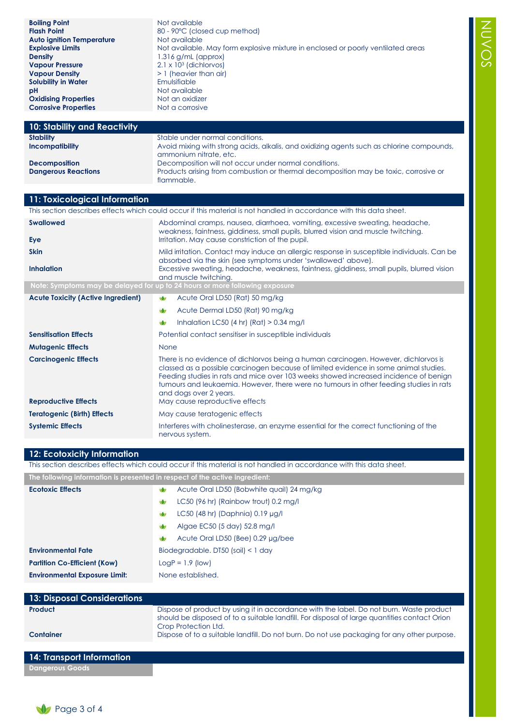| Mild irritation. Contact may induce an allergic response in susceptible individuals. Can be<br>Excessive sweating, headache, weakness, faintness, giddiness, small pupils, blurred vision<br>Dispose of to a suitable landfill. Do not burn. Do not use packaging for any other purpose. |
|------------------------------------------------------------------------------------------------------------------------------------------------------------------------------------------------------------------------------------------------------------------------------------------|

NUVOS

| 14: Transport Information |
|---------------------------|
| <b>Dangerous Goods</b>    |